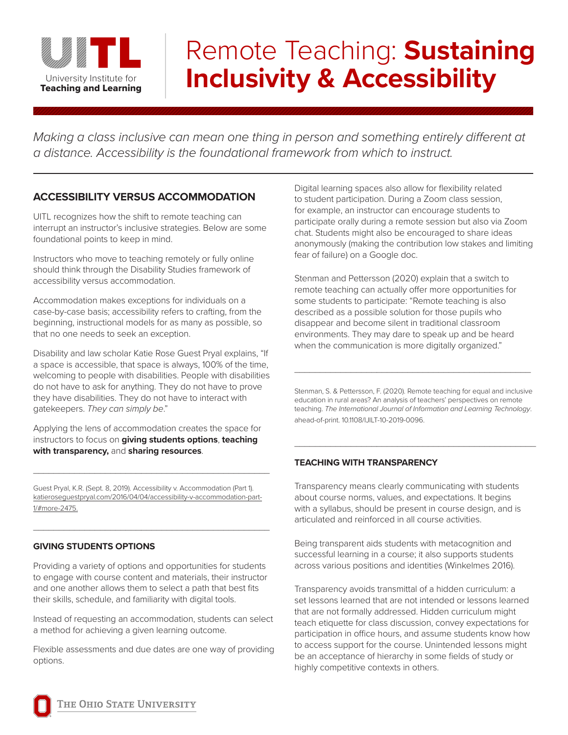

# Remote Teaching: **Sustaining Inclusivity & Accessibility**

*Making a class inclusive can mean one thing in person and something entirely different at a distance. Accessibility is the foundational framework from which to instruct.*

### **ACCESSIBILITY VERSUS ACCOMMODATION**

UITL recognizes how the shift to remote teaching can interrupt an instructor's inclusive strategies. Below are some foundational points to keep in mind.

Instructors who move to teaching remotely or fully online should think through the Disability Studies framework of accessibility versus accommodation.

Accommodation makes exceptions for individuals on a case-by-case basis; accessibility refers to crafting, from the beginning, instructional models for as many as possible, so that no one needs to seek an exception.

Disability and law scholar Katie Rose Guest Pryal explains, "If a space is accessible, that space is always, 100% of the time, welcoming to people with disabilities. People with disabilities do not have to ask for anything. They do not have to prove they have disabilities. They do not have to interact with gatekeepers. *They can simply be*."

Applying the lens of accommodation creates the space for instructors to focus on **giving students options**, **teaching with transparency,** and **sharing resources**.

Guest Pryal, K.R. (Sept. 8, 2019). Accessibility v. Accommodation (Part 1). katieroseguestpryal.com/2016/04/04/accessibility-v-accommodation-part-1/#more-2475.

 $\_$ 

\_\_\_\_\_\_\_\_\_\_\_\_\_\_\_\_\_\_\_\_\_\_\_\_\_\_\_\_\_\_\_\_\_\_\_\_\_\_\_\_\_\_\_\_\_\_

#### **GIVING STUDENTS OPTIONS**

Providing a variety of options and opportunities for students to engage with course content and materials, their instructor and one another allows them to select a path that best fits their skills, schedule, and familiarity with digital tools.

Instead of requesting an accommodation, students can select a method for achieving a given learning outcome.

Flexible assessments and due dates are one way of providing options.

Digital learning spaces also allow for flexibility related to student participation. During a Zoom class session, for example, an instructor can encourage students to participate orally during a remote session but also via Zoom chat. Students might also be encouraged to share ideas anonymously (making the contribution low stakes and limiting fear of failure) on a Google doc.

Stenman and Pettersson (2020) explain that a switch to remote teaching can actually offer more opportunities for some students to participate: "Remote teaching is also described as a possible solution for those pupils who disappear and become silent in traditional classroom environments. They may dare to speak up and be heard when the communication is more digitally organized."

Stenman, S. & Pettersson, F. (2020). Remote teaching for equal and inclusive education in rural areas? An analysis of teachers' perspectives on remote teaching. *The International Journal of Information and Learning Technology*. ahead-of-print. 10.1108/IJILT-10-2019-0096.

\_\_\_\_\_\_\_\_\_\_\_\_\_\_\_\_\_\_\_\_\_\_\_\_\_\_\_\_\_\_\_\_\_\_\_\_\_\_\_\_\_\_\_\_\_\_\_

\_\_\_\_\_\_\_\_\_\_\_\_\_\_\_\_\_\_\_\_\_\_\_\_\_\_\_\_\_\_\_\_\_\_\_\_\_\_\_\_\_\_\_\_\_\_

#### **TEACHING WITH TRANSPARENCY**

Transparency means clearly communicating with students about course norms, values, and expectations. It begins with a syllabus, should be present in course design, and is articulated and reinforced in all course activities.

Being transparent aids students with metacognition and successful learning in a course; it also supports students across various positions and identities (Winkelmes 2016).

Transparency avoids transmittal of a hidden curriculum: a set lessons learned that are not intended or lessons learned that are not formally addressed. Hidden curriculum might teach etiquette for class discussion, convey expectations for participation in office hours, and assume students know how to access support for the course. Unintended lessons might be an acceptance of hierarchy in some fields of study or highly competitive contexts in others.